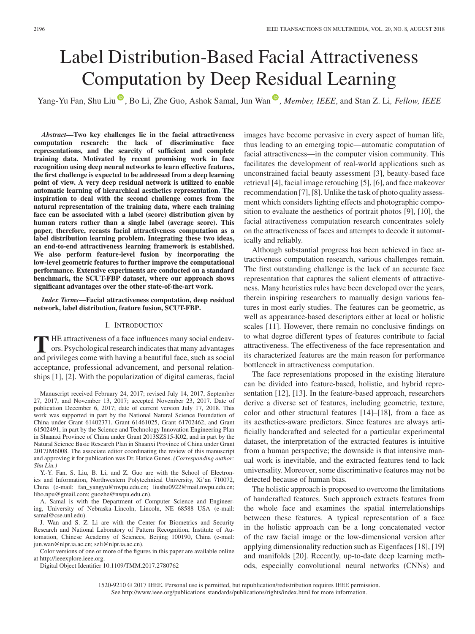# Label Distribution-Based Facial Attractiveness Computation by Deep Residual Learning

Yang-Yu Fan, Shu Liu<sup>®</sup>, Bo Li, Zhe Guo, Ashok Samal, Jun Wan<sup>®</sup>, Member, IEEE, and Stan Z. Li, Fellow, IEEE

*Abstract***—Two key challenges lie in the facial attractiveness computation research: the lack of discriminative face representations, and the scarcity of sufficient and complete training data. Motivated by recent promising work in face recognition using deep neural networks to learn effective features, the first challenge is expected to be addressed from a deep learning point of view. A very deep residual network is utilized to enable automatic learning of hierarchical aesthetics representation. The inspiration to deal with the second challenge comes from the natural representation of the training data, where each training face can be associated with a label (score) distribution given by human raters rather than a single label (average score). This paper, therefore, recasts facial attractiveness computation as a label distribution learning problem. Integrating these two ideas, an end-to-end attractiveness learning framework is established. We also perform feature-level fusion by incorporating the low-level geometric features to further improve the computational performance. Extensive experiments are conducted on a standard benchmark, the SCUT-FBP dataset, where our approach shows significant advantages over the other state-of-the-art work.**

*Index Terms***—Facial attractiveness computation, deep residual network, label distribution, feature fusion, SCUT-FBP.**

# I. INTRODUCTION

**T** HE attractiveness of a face influences many social endeavors. Psychological research indicates that many advantages and privileges come with having a beautiful face, such as social acceptance, professional advancement, and personal relationships [1], [2]. With the popularization of digital cameras, facial

Y.-Y. Fan, S. Liu, B. Li, and Z. Guo are with the School of Electronics and Information, Northwestern Polytechnical University, Xi'an 710072, China (e-mail: fan\_yangyu@nwpu.edu.cn; liushu0922@mail.nwpu.edu.cn; libo.npu@gmail.com; guozhe@nwpu.edu.cn).

A. Samal is with the Department of Computer Science and Engineering, University of Nebraska–Lincoln, Lincoln, NE 68588 USA (e-mail: samal@cse.unl.edu).

J. Wan and S. Z. Li are with the Center for Biometrics and Security Research and National Laboratory of Pattern Recognition, Institute of Automation, Chinese Academy of Sciences, Beijing 100190, China (e-mail: jun.wan@nlpr.ia.ac.cn; szli@nlpr.ia.ac.cn).

Color versions of one or more of the figures in this paper are available online at http://ieeexplore.ieee.org.

Digital Object Identifier 10.1109/TMM.2017.2780762

images have become pervasive in every aspect of human life, thus leading to an emerging topic—automatic computation of facial attractiveness—in the computer vision community. This facilitates the development of real-world applications such as unconstrained facial beauty assessment [3], beauty-based face retrieval [4], facial image retouching [5], [6], and face makeover recommendation [7], [8]. Unlike the task of photo quality assessment which considers lighting effects and photographic composition to evaluate the aesthetics of portrait photos [9], [10], the facial attractiveness computation research concentrates solely on the attractiveness of faces and attempts to decode it automatically and reliably.

Although substantial progress has been achieved in face attractiveness computation research, various challenges remain. The first outstanding challenge is the lack of an accurate face representation that captures the salient elements of attractiveness. Many heuristics rules have been developed over the years, therein inspiring researchers to manually design various features in most early studies. The features can be geometric, as well as appearance-based descriptors either at local or holistic scales [11]. However, there remain no conclusive findings on to what degree different types of features contribute to facial attractiveness. The effectiveness of the face representation and its characterized features are the main reason for performance bottleneck in attractiveness computation.

The face representations proposed in the existing literature can be divided into feature-based, holistic, and hybrid representation [12], [13]. In the feature-based approach, researchers derive a diverse set of features, including geometric, texture, color and other structural features [14]–[18], from a face as its aesthetics-aware predictors. Since features are always artificially handcrafted and selected for a particular experimental dataset, the interpretation of the extracted features is intuitive from a human perspective; the downside is that intensive manual work is inevitable, and the extracted features tend to lack universality. Moreover, some discriminative features may not be detected because of human bias.

The holistic approach is proposed to overcome the limitations of handcrafted features. Such approach extracts features from the whole face and examines the spatial interrelationships between these features. A typical representation of a face in the holistic approach can be a long concatenated vector of the raw facial image or the low-dimensional version after applying dimensionality reduction such as Eigenfaces [18], [19] and manifolds [20]. Recently, up-to-date deep learning methods, especially convolutional neural networks (CNNs) and

1520-9210 © 2017 IEEE. Personal use is permitted, but republication/redistribution requires IEEE permission. See http://www.ieee.org/publications standards/publications/rights/index.html for more information.

Manuscript received February 24, 2017; revised July 14, 2017, September 27, 2017, and November 13, 2017; accepted November 23, 2017. Date of publication December 6, 2017; date of current version July 17, 2018. This work was supported in part by the National Natural Science Foundation of China under Grant 61402371, Grant 61461025, Grant 61702462, and Grant 61502491, in part by the Science and Technology Innovation Engineering Plan in Shaanxi Province of China under Grant 2013SZS15-K02, and in part by the Natural Science Basic Research Plan in Shaanxi Province of China under Grant 2017JM6008. The associate editor coordinating the review of this manuscript and approving it for publication was Dr. Hatice Gunes. *(Corresponding author: Shu Liu.)*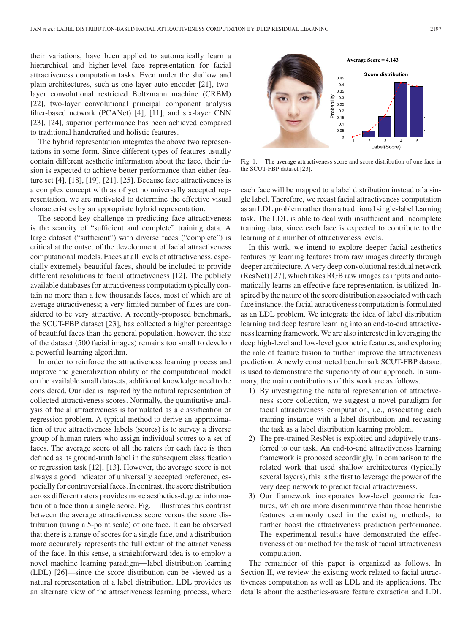their variations, have been applied to automatically learn a hierarchical and higher-level face representation for facial attractiveness computation tasks. Even under the shallow and plain architectures, such as one-layer auto-encoder [21], twolayer convolutional restricted Boltzmann machine (CRBM) [22], two-layer convolutional principal component analysis filter-based network (PCANet) [4], [11], and six-layer CNN [23], [24], superior performance has been achieved compared to traditional handcrafted and holistic features.

The hybrid representation integrates the above two representations in some form. Since different types of features usually contain different aesthetic information about the face, their fusion is expected to achieve better performance than either feature set [4], [18], [19], [21], [25]. Because face attractiveness is a complex concept with as of yet no universally accepted representation, we are motivated to determine the effective visual characteristics by an appropriate hybrid representation.

The second key challenge in predicting face attractiveness is the scarcity of "sufficient and complete" training data. A large dataset ("sufficient") with diverse faces ("complete") is critical at the outset of the development of facial attractiveness computational models. Faces at all levels of attractiveness, especially extremely beautiful faces, should be included to provide different resolutions to facial attractiveness [12]. The publicly available databases for attractiveness computation typically contain no more than a few thousands faces, most of which are of average attractiveness; a very limited number of faces are considered to be very attractive. A recently-proposed benchmark, the SCUT-FBP dataset [23], has collected a higher percentage of beautiful faces than the general population; however, the size of the dataset (500 facial images) remains too small to develop a powerful learning algorithm.

In order to reinforce the attractiveness learning process and improve the generalization ability of the computational model on the available small datasets, additional knowledge need to be considered. Our idea is inspired by the natural representation of collected attractiveness scores. Normally, the quantitative analysis of facial attractiveness is formulated as a classification or regression problem. A typical method to derive an approximation of true attractiveness labels (scores) is to survey a diverse group of human raters who assign individual scores to a set of faces. The average score of all the raters for each face is then defined as its ground-truth label in the subsequent classification or regression task [12], [13]. However, the average score is not always a good indicator of universally accepted preference, especially for controversial faces. In contrast, the score distribution across different raters provides more aesthetics-degree information of a face than a single score. Fig. 1 illustrates this contrast between the average attractiveness score versus the score distribution (using a 5-point scale) of one face. It can be observed that there is a range of scores for a single face, and a distribution more accurately represents the full extent of the attractiveness of the face. In this sense, a straightforward idea is to employ a novel machine learning paradigm—label distribution learning (LDL) [26]—since the score distribution can be viewed as a natural representation of a label distribution. LDL provides us an alternate view of the attractiveness learning process, where



Fig. 1. The average attractiveness score and score distribution of one face in the SCUT-FBP dataset [23].

each face will be mapped to a label distribution instead of a single label. Therefore, we recast facial attractiveness computation as an LDL problem rather than a traditional single-label learning task. The LDL is able to deal with insufficient and incomplete training data, since each face is expected to contribute to the learning of a number of attractiveness levels.

In this work, we intend to explore deeper facial aesthetics features by learning features from raw images directly through deeper architecture. A very deep convolutional residual network (ResNet) [27], which takes RGB raw images as inputs and automatically learns an effective face representation, is utilized. Inspired by the nature of the score distribution associated with each face instance, the facial attractiveness computation is formulated as an LDL problem. We integrate the idea of label distribution learning and deep feature learning into an end-to-end attractiveness learning framework.We are also interested in leveraging the deep high-level and low-level geometric features, and exploring the role of feature fusion to further improve the attractiveness prediction. A newly constructed benchmark SCUT-FBP dataset is used to demonstrate the superiority of our approach. In summary, the main contributions of this work are as follows.

- 1) By investigating the natural representation of attractiveness score collection, we suggest a novel paradigm for facial attractiveness computation, i.e., associating each training instance with a label distribution and recasting the task as a label distribution learning problem.
- 2) The pre-trained ResNet is exploited and adaptively transferred to our task. An end-to-end attractiveness learning framework is proposed accordingly. In comparison to the related work that used shallow architectures (typically several layers), this is the first to leverage the power of the very deep network to predict facial attractiveness.
- 3) Our framework incorporates low-level geometric features, which are more discriminative than those heuristic features commonly used in the existing methods, to further boost the attractiveness prediction performance. The experimental results have demonstrated the effectiveness of our method for the task of facial attractiveness computation.

The remainder of this paper is organized as follows. In Section II, we review the existing work related to facial attractiveness computation as well as LDL and its applications. The details about the aesthetics-aware feature extraction and LDL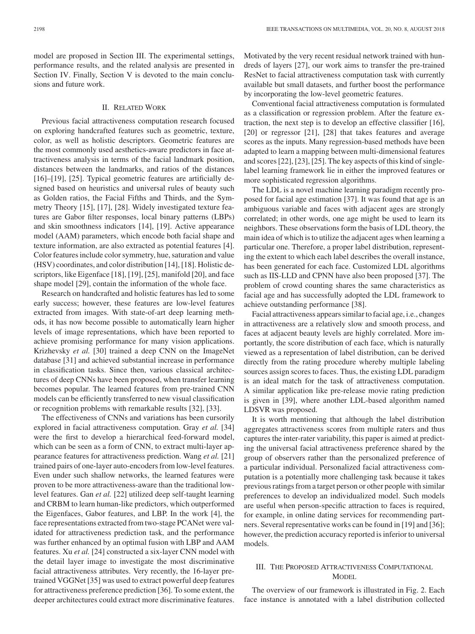model are proposed in Section III. The experimental settings, performance results, and the related analysis are presented in Section IV. Finally, Section V is devoted to the main conclusions and future work.

#### II. RELATED WORK

Previous facial attractiveness computation research focused on exploring handcrafted features such as geometric, texture, color, as well as holistic descriptors. Geometric features are the most commonly used aesthetics-aware predictors in face attractiveness analysis in terms of the facial landmark position, distances between the landmarks, and ratios of the distances [16]–[19], [25]. Typical geometric features are artificially designed based on heuristics and universal rules of beauty such as Golden ratios, the Facial Fifths and Thirds, and the Symmetry Theory [15], [17], [28]. Widely investigated texture features are Gabor filter responses, local binary patterns (LBPs) and skin smoothness indicators [14], [19]. Active appearance model (AAM) parameters, which encode both facial shape and texture information, are also extracted as potential features [4]. Color features include color symmetry, hue, saturation and value (HSV) coordinates, and color distribution [14], [18]. Holistic descriptors, like Eigenface [18], [19], [25], manifold [20], and face shape model [29], contain the information of the whole face.

Research on handcrafted and holistic features has led to some early success; however, these features are low-level features extracted from images. With state-of-art deep learning methods, it has now become possible to automatically learn higher levels of image representations, which have been reported to achieve promising performance for many vision applications. Krizhevsky *et al.* [30] trained a deep CNN on the ImageNet database [31] and achieved substantial increase in performance in classification tasks. Since then, various classical architectures of deep CNNs have been proposed, when transfer learning becomes popular. The learned features from pre-trained CNN models can be efficiently transferred to new visual classification or recognition problems with remarkable results [32], [33].

The effectiveness of CNNs and variations has been cursorily explored in facial attractiveness computation. Gray *et al.* [34] were the first to develop a hierarchical feed-forward model, which can be seen as a form of CNN, to extract multi-layer appearance features for attractiveness prediction. Wang *et al.* [21] trained pairs of one-layer auto-encoders from low-level features. Even under such shallow networks, the learned features were proven to be more attractiveness-aware than the traditional lowlevel features. Gan *et al.* [22] utilized deep self-taught learning and CRBM to learn human-like predictors, which outperformed the Eigenfaces, Gabor features, and LBP. In the work [4], the face representations extracted from two-stage PCANet were validated for attractiveness prediction task, and the performance was further enhanced by an optimal fusion with LBP and AAM features. Xu *et al.* [24] constructed a six-layer CNN model with the detail layer image to investigate the most discriminative facial attractiveness attributes. Very recently, the 16-layer pretrained VGGNet [35] was used to extract powerful deep features for attractiveness preference prediction [36]. To some extent, the deeper architectures could extract more discriminative features.

Motivated by the very recent residual network trained with hundreds of layers [27], our work aims to transfer the pre-trained ResNet to facial attractiveness computation task with currently available but small datasets, and further boost the performance by incorporating the low-level geometric features.

Conventional facial attractiveness computation is formulated as a classification or regression problem. After the feature extraction, the next step is to develop an effective classifier [16], [20] or regressor [21], [28] that takes features and average scores as the inputs. Many regression-based methods have been adapted to learn a mapping between multi-dimensional features and scores [22], [23], [25]. The key aspects of this kind of singlelabel learning framework lie in either the improved features or more sophisticated regression algorithms.

The LDL is a novel machine learning paradigm recently proposed for facial age estimation [37]. It was found that age is an ambiguous variable and faces with adjacent ages are strongly correlated; in other words, one age might be used to learn its neighbors. These observations form the basis of LDL theory, the main idea of which is to utilize the adjacent ages when learning a particular one. Therefore, a proper label distribution, representing the extent to which each label describes the overall instance, has been generated for each face. Customized LDL algorithms such as IIS-LLD and CPNN have also been proposed [37]. The problem of crowd counting shares the same characteristics as facial age and has successfully adopted the LDL framework to achieve outstanding performance [38].

Facial attractiveness appears similar to facial age, i.e., changes in attractiveness are a relatively slow and smooth process, and faces at adjacent beauty levels are highly correlated. More importantly, the score distribution of each face, which is naturally viewed as a representation of label distribution, can be derived directly from the rating procedure whereby multiple labeling sources assign scores to faces. Thus, the existing LDL paradigm is an ideal match for the task of attractiveness computation. A similar application like pre-release movie rating prediction is given in [39], where another LDL-based algorithm named LDSVR was proposed.

It is worth mentioning that although the label distribution aggregates attractiveness scores from multiple raters and thus captures the inter-rater variability, this paper is aimed at predicting the universal facial attractiveness preference shared by the group of observers rather than the personalized preference of a particular individual. Personalized facial attractiveness computation is a potentially more challenging task because it takes previous ratings from a target person or other people with similar preferences to develop an individualized model. Such models are useful when person-specific attraction to faces is required, for example, in online dating services for recommending partners. Several representative works can be found in [19] and [36]; however, the prediction accuracy reported is inferior to universal models.

# III. THE PROPOSED ATTRACTIVENESS COMPUTATIONAL MODEL

The overview of our framework is illustrated in Fig. 2. Each face instance is annotated with a label distribution collected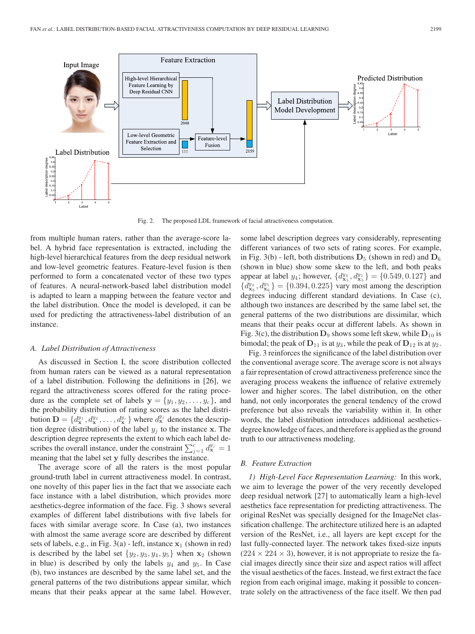

Fig. 2. The proposed LDL framework of facial attractiveness computation.

from multiple human raters, rather than the average-score label. A hybrid face representation is extracted, including the high-level hierarchical features from the deep residual network and low-level geometric features. Feature-level fusion is then performed to form a concatenated vector of these two types of features. A neural-network-based label distribution model is adapted to learn a mapping between the feature vector and the label distribution. Once the model is developed, it can be used for predicting the attractiveness-label distribution of an instance.

#### *A. Label Distribution of Attractiveness*

As discussed in Section I, the score distribution collected from human raters can be viewed as a natural representation of a label distribution. Following the definitions in [26], we regard the attractiveness scores offered for the rating procedure as the complete set of labels  $y = \{y_1, y_2, \ldots, y_c\}$ , and the probability distribution of rating scores as the label distribution  $\mathbf{D} = \{d_{\mathbf{x}}^{y_1}, d_{\mathbf{x}}^{y_2}, \dots, d_{\mathbf{x}}^{y_\ell}\}$  where  $d_{\mathbf{x}}^{y_j}$  denotes the description degree (distribution) of the label  $y_j$  to the instance **x**. The description degree represents the extent to which each label describes the overall instance, under the constraint  $\sum_{j=1}^{c} d_{x}^{y_{j}} = 1$ meaning that the label set **y** fully describes the instance.

The average score of all the raters is the most popular ground-truth label in current attractiveness model. In contrast, one novelty of this paper lies in the fact that we associate each face instance with a label distribution, which provides more aesthetics-degree information of the face. Fig. 3 shows several examples of different label distributions with five labels for faces with similar average score. In Case (a), two instances with almost the same average score are described by different sets of labels, e.g., in Fig. 3(a) - left, instance **x**<sup>1</sup> (shown in red) is described by the label set  $\{y_2, y_3, y_4, y_5\}$  when  $\mathbf{x}_2$  (shown in blue) is described by only the labels  $y_4$  and  $y_5$ . In Case (b), two instances are described by the same label set, and the general patterns of the two distributions appear similar, which means that their peaks appear at the same label. However, some label description degrees vary considerably, representing different variances of two sets of rating scores. For example, in Fig. 3(b) - left, both distributions  $D_5$  (shown in red) and  $D_6$ (shown in blue) show some skew to the left, and both peaks appear at label  $y_4$ ; however,  $\{d_{\mathbf{x}_5}^{y_4}, d_{\mathbf{x}_5}^{y_5}\} = \{0.549, 0.127\}$  and  ${d_{\mathbf{x}_6}^{y_4}, d_{\mathbf{x}_6}^{y_5}} = {0.394, 0.225}$  vary most among the description degrees inducing different standard deviations. In Case (c), although two instances are described by the same label set, the general patterns of the two distributions are dissimilar, which means that their peaks occur at different labels. As shown in Fig. 3(c), the distribution  $D_9$  shows some left skew, while  $D_{10}$  is bimodal; the peak of  $D_{11}$  is at  $y_3$ , while the peak of  $D_{12}$  is at  $y_2$ .

Fig. 3 reinforces the significance of the label distribution over the conventional average score. The average score is not always a fair representation of crowd attractiveness preference since the averaging process weakens the influence of relative extremely lower and higher scores. The label distribution, on the other hand, not only incorporates the general tendency of the crowd preference but also reveals the variability within it. In other words, the label distribution introduces additional aestheticsdegree knowledge of faces, and therefore is applied as the ground truth to our attractiveness modeling.

# *B. Feature Extraction*

*1) High-Level Face Representation Learning:* In this work, we aim to leverage the power of the very recently developed deep residual network [27] to automatically learn a high-level aesthetics face representation for predicting attractiveness. The original ResNet was specially designed for the ImageNet classification challenge. The architecture utilized here is an adapted version of the ResNet, i.e., all layers are kept except for the last fully-connected layer. The network takes fixed-size inputs  $(224 \times 224 \times 3)$ , however, it is not appropriate to resize the facial images directly since their size and aspect ratios will affect the visual aesthetics of the faces. Instead, we first extract the face region from each original image, making it possible to concentrate solely on the attractiveness of the face itself. We then pad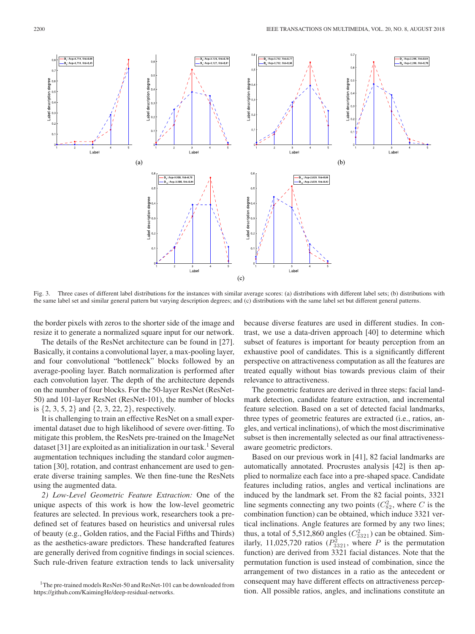

Fig. 3. Three cases of different label distributions for the instances with similar average scores: (a) distributions with different label sets; (b) distributions with the same label set and similar general pattern but varying description degrees; and (c) distributions with the same label set but different general patterns.

the border pixels with zeros to the shorter side of the image and resize it to generate a normalized square input for our network.

The details of the ResNet architecture can be found in [27]. Basically, it contains a convolutional layer, a max-pooling layer, and four convolutional "bottleneck" blocks followed by an average-pooling layer. Batch normalization is performed after each convolution layer. The depth of the architecture depends on the number of four blocks. For the 50-layer ResNet (ResNet-50) and 101-layer ResNet (ResNet-101), the number of blocks is {2, 3, 5, 2} and {2, 3, 22, 2}, respectively.

It is challenging to train an effective ResNet on a small experimental dataset due to high likelihood of severe over-fitting. To mitigate this problem, the ResNets pre-trained on the ImageNet dataset [31] are exploited as an initialization in our task.<sup>1</sup> Several augmentation techniques including the standard color augmentation [30], rotation, and contrast enhancement are used to generate diverse training samples. We then fine-tune the ResNets using the augmented data.

*2) Low-Level Geometric Feature Extraction:* One of the unique aspects of this work is how the low-level geometric features are selected. In previous work, researchers took a predefined set of features based on heuristics and universal rules of beauty (e.g., Golden ratios, and the Facial Fifths and Thirds) as the aesthetics-aware predictors. These handcrafted features are generally derived from cognitive findings in social sciences. Such rule-driven feature extraction tends to lack universality

because diverse features are used in different studies. In contrast, we use a data-driven approach [40] to determine which subset of features is important for beauty perception from an exhaustive pool of candidates. This is a significantly different perspective on attractiveness computation as all the features are treated equally without bias towards previous claim of their relevance to attractiveness.

The geometric features are derived in three steps: facial landmark detection, candidate feature extraction, and incremental feature selection. Based on a set of detected facial landmarks, three types of geometric features are extracted (i.e., ratios, angles, and vertical inclinations), of which the most discriminative subset is then incrementally selected as our final attractivenessaware geometric predictors.

Based on our previous work in [41], 82 facial landmarks are automatically annotated. Procrustes analysis [42] is then applied to normalize each face into a pre-shaped space. Candidate features including ratios, angles and vertical inclinations are induced by the landmark set. From the 82 facial points, 3321 line segments connecting any two points  $(C_{82}^2$ , where *C* is the combination function) can be obtained, which induce 3321 vertical inclinations. Angle features are formed by any two lines; thus, a total of 5,512,860 angles  $(C_{3321}^2)$  can be obtained. Similarly, 11,025,720 ratios  $(P_{3321}^2$ , where *P* is the permutation function) are derived from 3321 facial distances. Note that the permutation function is used instead of combination, since the arrangement of two distances in a ratio as the antecedent or consequent may have different effects on attractiveness perception. All possible ratios, angles, and inclinations constitute an

<sup>&</sup>lt;sup>1</sup>The pre-trained models ResNet-50 and ResNet-101 can be downloaded from https://github.com/KaimingHe/deep-residual-networks.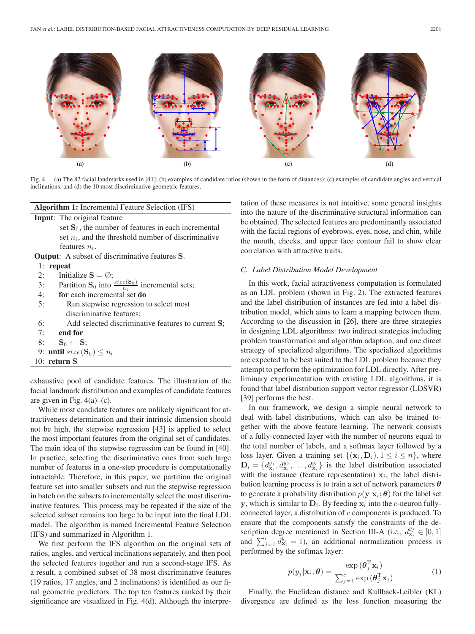$(b)$ 



Fig. 4. (a) The 82 facial landmarks used in [41]; (b) examples of candidate ratios (shown in the form of distances); (c) examples of candidate angles and vertical inclinations; and (d) the 10 most discriminative geometric features.

**Algorithm 1:** Incremental Feature Selection (IFS)

**Input**: The original feature

 $(a)$ 

set  $S_0$ , the number of features in each incremental set *ni*, and the threshold number of discriminative features  $n_t$ .

**Output**: A subset of discriminative features **S**.

1: **repeat**

- 2: Initialize  $S = \emptyset$ ;
- 3: Partition  $\mathbf{S}_0$  into  $\frac{\text{size}(\mathbf{S}_0)}{n_i}$  incremental sets;
- 4: **for** each incremental set **do**
- 5: Run stepwise regression to select most discriminative features;
- 6: Add selected discriminative features to current **S**;
- 7: **end for**
- 8:  $\mathbf{S}_0 \leftarrow \mathbf{S}$ ;
- 9: **until**  $size(\mathbf{S}_0) \leq n_t$
- 10: **return S**

exhaustive pool of candidate features. The illustration of the facial landmark distribution and examples of candidate features are given in Fig.  $4(a)$ – $(c)$ .

While most candidate features are unlikely significant for attractiveness determination and their intrinsic dimension should not be high, the stepwise regression [43] is applied to select the most important features from the original set of candidates. The main idea of the stepwise regression can be found in [40]. In practice, selecting the discriminative ones from such large number of features in a one-step procedure is computationally intractable. Therefore, in this paper, we partition the original feature set into smaller subsets and run the stepwise regression in batch on the subsets to incrementally select the most discriminative features. This process may be repeated if the size of the selected subset remains too large to be input into the final LDL model. The algorithm is named Incremental Feature Selection (IFS) and summarized in Algorithm 1.

We first perform the IFS algorithm on the original sets of ratios, angles, and vertical inclinations separately, and then pool the selected features together and run a second-stage IFS. As a result, a combined subset of 38 most discriminative features (19 ratios, 17 angles, and 2 inclinations) is identified as our final geometric predictors. The top ten features ranked by their significance are visualized in Fig. 4(d). Although the interpretation of these measures is not intuitive, some general insights into the nature of the discriminative structural information can be obtained. The selected features are predominantly associated with the facial regions of eyebrows, eyes, nose, and chin, while the mouth, cheeks, and upper face contour fail to show clear correlation with attractive traits.

 $(d)$ 

#### *C. Label Distribution Model Development*

 $(c)$ 

In this work, facial attractiveness computation is formulated as an LDL problem (shown in Fig. 2). The extracted features and the label distribution of instances are fed into a label distribution model, which aims to learn a mapping between them. According to the discussion in [26], there are three strategies in designing LDL algorithms: two indirect strategies including problem transformation and algorithm adaption, and one direct strategy of specialized algorithms. The specialized algorithms are expected to be best suited to the LDL problem because they attempt to perform the optimization for LDL directly. After preliminary experimentation with existing LDL algorithms, it is found that label distribution support vector regressor (LDSVR) [39] performs the best.

In our framework, we design a simple neural network to deal with label distributions, which can also be trained together with the above feature learning. The network consists of a fully-connected layer with the number of neurons equal to the total number of labels, and a softmax layer followed by a loss layer. Given a training set  $\{(\mathbf{x}_i, \mathbf{D}_i), 1 \leq i \leq n\}$ , where  $\mathbf{D}_i = \{d_{\mathbf{x}_i}^{y_1}, d_{\mathbf{x}_i}^{y_2}, \dots, d_{\mathbf{x}_i}^{y_c}\}$  is the label distribution associated with the instance (feature representation)  $x_i$ , the label distribution learning process is to train a set of network parameters *θ* to generate a probability distribution  $p(\mathbf{y}|\mathbf{x}_i;\boldsymbol{\theta})$  for the label set **y**, which is similar to **D***i*. By feeding **x***<sup>i</sup>* into the *c*-neuron fullyconnected layer, a distribution of *c* components is produced. To ensure that the components satisfy the constraints of the description degree mentioned in Section III-A (i.e.,  $d_{\mathbf{x}_i}^{y_j} \in [0,1]$ and  $\sum_{j=1}^{c} d_{\mathbf{x}_i}^{y_j} = 1$ ), an additional normalization process is performed by the softmax layer:

$$
p(y_j|\mathbf{x}_i;\boldsymbol{\theta}) = \frac{\exp\left(\boldsymbol{\theta}_j^{\mathrm{T}}\mathbf{x}_i\right)}{\sum_{j=1}^c \exp\left(\boldsymbol{\theta}_j^{\mathrm{T}}\mathbf{x}_i\right)}
$$
(1)

Finally, the Euclidean distance and Kullback-Leibler (KL) divergence are defined as the loss function measuring the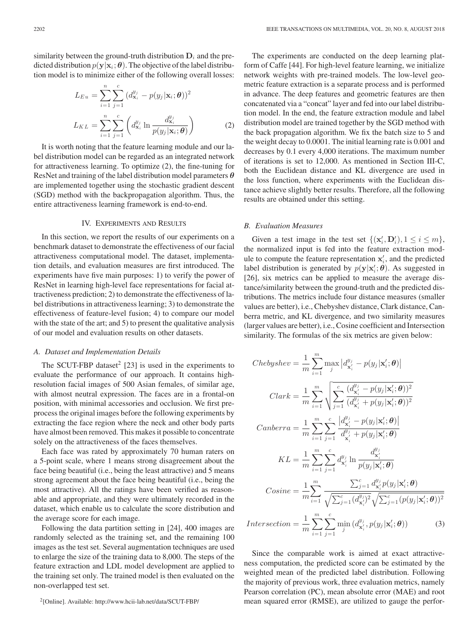similarity between the ground-truth distribution  $D_i$  and the predicted distribution  $p(\mathbf{y}|\mathbf{x}_i;\boldsymbol{\theta})$ . The objective of the label distribution model is to minimize either of the following overall losses:

$$
L_{Eu} = \sum_{i=1}^{n} \sum_{j=1}^{c} (d_{\mathbf{x}_{i}}^{y_{j}} - p(y_{j}|\mathbf{x}_{i}; \boldsymbol{\theta}))^{2}
$$

$$
L_{KL} = \sum_{i=1}^{n} \sum_{j=1}^{c} \left( d_{\mathbf{x}_{i}}^{y_{j}} \ln \frac{d_{\mathbf{x}_{i}}^{y_{j}}}{p(y_{j}|\mathbf{x}_{i}; \boldsymbol{\theta})} \right)
$$
(2)

It is worth noting that the feature learning module and our label distribution model can be regarded as an integrated network for attractiveness learning. To optimize (2), the fine-tuning for ResNet and training of the label distribution model parameters *θ* are implemented together using the stochastic gradient descent (SGD) method with the backpropagation algorithm. Thus, the entire attractiveness learning framework is end-to-end.

## IV. EXPERIMENTS AND RESULTS

In this section, we report the results of our experiments on a benchmark dataset to demonstrate the effectiveness of our facial attractiveness computational model. The dataset, implementation details, and evaluation measures are first introduced. The experiments have five main purposes: 1) to verify the power of ResNet in learning high-level face representations for facial attractiveness prediction; 2) to demonstrate the effectiveness of label distributions in attractiveness learning; 3) to demonstrate the effectiveness of feature-level fusion; 4) to compare our model with the state of the art; and 5) to present the qualitative analysis of our model and evaluation results on other datasets.

# *A. Dataset and Implementation Details*

The SCUT-FBP dataset<sup>2</sup> [23] is used in the experiments to evaluate the performance of our approach. It contains highresolution facial images of 500 Asian females, of similar age, with almost neutral expression. The faces are in a frontal-on position, with minimal accessories and occlusion. We first preprocess the original images before the following experiments by extracting the face region where the neck and other body parts have almost been removed. This makes it possible to concentrate solely on the attractiveness of the faces themselves.

Each face was rated by approximately 70 human raters on a 5-point scale, where 1 means strong disagreement about the face being beautiful (i.e., being the least attractive) and 5 means strong agreement about the face being beautiful (i.e., being the most attractive). All the ratings have been verified as reasonable and appropriate, and they were ultimately recorded in the dataset, which enable us to calculate the score distribution and the average score for each image.

Following the data partition setting in [24], 400 images are randomly selected as the training set, and the remaining 100 images as the test set. Several augmentation techniques are used to enlarge the size of the training data to 8,000. The steps of the feature extraction and LDL model development are applied to the training set only. The trained model is then evaluated on the non-overlapped test set.

2[Online]. Available: http://www.hcii-lab.net/data/SCUT-FBP/

The experiments are conducted on the deep learning platform of Caffe [44]. For high-level feature learning, we initialize network weights with pre-trained models. The low-level geometric feature extraction is a separate process and is performed in advance. The deep features and geometric features are then concatenated via a "concat" layer and fed into our label distribution model. In the end, the feature extraction module and label distribution model are trained together by the SGD method with the back propagation algorithm. We fix the batch size to 5 and the weight decay to 0.0001. The initial learning rate is 0.001 and decreases by 0.1 every 4,000 iterations. The maximum number of iterations is set to 12,000. As mentioned in Section III-C, both the Euclidean distance and KL divergence are used in the loss function, where experiments with the Euclidean distance achieve slightly better results. Therefore, all the following results are obtained under this setting.

## *B. Evaluation Measures*

Given a test image in the test set  $\{(\mathbf{x}'_i, \mathbf{D}'_i), 1 \le i \le m\}$ , the normalized input is fed into the feature extraction module to compute the feature representation  $x_i'$ , and the predicted label distribution is generated by  $p(\mathbf{y}|\mathbf{x}'_i;\boldsymbol{\theta})$ . As suggested in [26], six metrics can be applied to measure the average distance/similarity between the ground-truth and the predicted distributions. The metrics include four distance measures (smaller values are better), i.e., Chebyshev distance, Clark distance, Canberra metric, and KL divergence, and two similarity measures (larger values are better), i.e., Cosine coefficient and Intersection similarity. The formulas of the six metrics are given below:

$$
Chebyshev = \frac{1}{m} \sum_{i=1}^{m} \max_{j} \left| d_{\mathbf{x}_{i}'}^{y_{j}} - p(y_{j}|\mathbf{x}_{i}'; \boldsymbol{\theta}) \right|
$$
\n
$$
Clark = \frac{1}{m} \sum_{i=1}^{m} \sqrt{\sum_{j=1}^{c} \frac{(d_{\mathbf{x}_{i}}^{y_{j}} - p(y_{j}|\mathbf{x}_{i}'; \boldsymbol{\theta}))^{2}}{(d_{\mathbf{x}_{i}}^{y_{j}} + p(y_{j}|\mathbf{x}_{i}'; \boldsymbol{\theta}))^{2}}
$$
\n
$$
Canberra = \frac{1}{m} \sum_{i=1}^{m} \sum_{j=1}^{c} \frac{\left| d_{\mathbf{x}_{i}}^{y_{j}} - p(y_{j}|\mathbf{x}_{i}'; \boldsymbol{\theta}) \right|}{d_{\mathbf{x}_{i}}^{y_{j}} + p(y_{j}|\mathbf{x}_{i}'; \boldsymbol{\theta})}
$$
\n
$$
KL = \frac{1}{m} \sum_{i=1}^{m} \sum_{j=1}^{c} d_{\mathbf{x}_{i}}^{y_{j}} \ln \frac{d_{\mathbf{x}_{i}'}^{y_{j}}}{p(y_{j}|\mathbf{x}_{i}'; \boldsymbol{\theta})}
$$
\n
$$
Cosine = \frac{1}{m} \sum_{i=1}^{m} \frac{\sum_{j=1}^{c} d_{\mathbf{x}_{i}'}^{y_{j}} p(y_{j}|\mathbf{x}_{i}'; \boldsymbol{\theta})}{\sqrt{\sum_{j=1}^{c} (d_{\mathbf{x}_{i}'}^{y_{j}})^{2}} \sqrt{\sum_{j=1}^{c} (p(y_{j}|\mathbf{x}_{i}'; \boldsymbol{\theta}))^{2}}}
$$
\n
$$
1^{m} \quad c
$$

$$
Intersection = \frac{1}{m} \sum_{i=1}^{m} \sum_{j=1}^{c} \min_{j} (d_{\mathbf{x}'_i}^{y_j}, p(y_j | \mathbf{x}'_i; \boldsymbol{\theta}))
$$
(3)

Since the comparable work is aimed at exact attractiveness computation, the predicted score can be estimated by the weighted mean of the predicted label distribution. Following the majority of previous work, three evaluation metrics, namely Pearson correlation (PC), mean absolute error (MAE) and root mean squared error (RMSE), are utilized to gauge the perfor-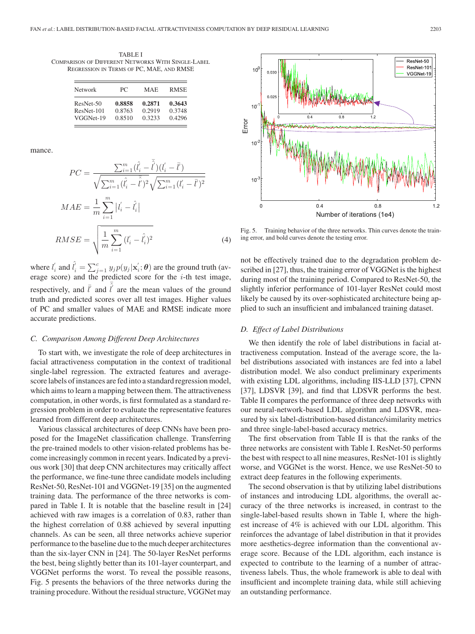TABLE I COMPARISON OF DIFFERENT NETWORKS WITH SINGLE-LABEL REGRESSION IN TERMS OF PC, MAE, AND RMSE

| <b>Network</b> | PС     | MAE    | <b>RMSE</b> |
|----------------|--------|--------|-------------|
| ResNet-50      | 0.8858 | 0.2871 | 0.3643      |
| ResNet-101     | 0.8763 | 0.2919 | 0.3748      |
| VGGNet-19      | 0.8510 | 0.3233 | 0.4296      |

mance.

$$
PC = \frac{\sum_{i=1}^{m} (\hat{l}_i - \bar{\hat{l}})(l_i' - \bar{l})}{\sqrt{\sum_{i=1}^{m} (\hat{l}_i - \bar{\hat{l}})^2} \sqrt{\sum_{i=1}^{m} (l_i' - \bar{l})^2}}
$$

$$
MAE = \frac{1}{m} \sum_{i=1}^{m} |l_i' - \hat{l}_i'|
$$

$$
RMSE = \sqrt{\frac{1}{m} \sum_{i=1}^{m} (l_i' - \hat{l}_i)^2}
$$
(4)

where  $l_i'$  and  $\hat{l}_i' = \sum_{j=1}^c y_j p(y_j | \mathbf{x}_i'; \boldsymbol{\theta})$  are the ground truth (average score) and the predicted score for the *i*-th test image, respectively, and  $\overline{l'}$  and  $\overline{l'}$  are the mean values of the ground truth and predicted scores over all test images. Higher values of PC and smaller values of MAE and RMSE indicate more accurate predictions.

#### *C. Comparison Among Different Deep Architectures*

To start with, we investigate the role of deep architectures in facial attractiveness computation in the context of traditional single-label regression. The extracted features and averagescore labels of instances are fed into a standard regression model, which aims to learn a mapping between them. The attractiveness computation, in other words, is first formulated as a standard regression problem in order to evaluate the representative features learned from different deep architectures.

Various classical architectures of deep CNNs have been proposed for the ImageNet classification challenge. Transferring the pre-trained models to other vision-related problems has become increasingly common in recent years. Indicated by a previous work [30] that deep CNN architectures may critically affect the performance, we fine-tune three candidate models including ResNet-50, ResNet-101 and VGGNet-19 [35] on the augmented training data. The performance of the three networks is compared in Table I. It is notable that the baseline result in [24] achieved with raw images is a correlation of 0.83, rather than the highest correlation of 0.88 achieved by several inputting channels. As can be seen, all three networks achieve superior performance to the baseline due to the much deeper architectures than the six-layer CNN in [24]. The 50-layer ResNet performs the best, being slightly better than its 101-layer counterpart, and VGGNet performs the worst. To reveal the possible reasons, Fig. 5 presents the behaviors of the three networks during the training procedure. Without the residual structure, VGGNet may



Fig. 5. Training behavior of the three networks. Thin curves denote the training error, and bold curves denote the testing error.

not be effectively trained due to the degradation problem described in [27], thus, the training error of VGGNet is the highest during most of the training period. Compared to ResNet-50, the slightly inferior performance of 101-layer ResNet could most likely be caused by its over-sophisticated architecture being applied to such an insufficient and imbalanced training dataset.

## *D. Effect of Label Distributions*

We then identify the role of label distributions in facial attractiveness computation. Instead of the average score, the label distributions associated with instances are fed into a label distribution model. We also conduct preliminary experiments with existing LDL algorithms, including IIS-LLD [37], CPNN [37], LDSVR [39], and find that LDSVR performs the best. Table II compares the performance of three deep networks with our neural-network-based LDL algorithm and LDSVR, measured by six label-distribution-based distance/similarity metrics and three single-label-based accuracy metrics.

The first observation from Table II is that the ranks of the three networks are consistent with Table I. ResNet-50 performs the best with respect to all nine measures, ResNet-101 is slightly worse, and VGGNet is the worst. Hence, we use ResNet-50 to extract deep features in the following experiments.

The second observation is that by utilizing label distributions of instances and introducing LDL algorithms, the overall accuracy of the three networks is increased, in contrast to the single-label-based results shown in Table I, where the highest increase of 4% is achieved with our LDL algorithm. This reinforces the advantage of label distribution in that it provides more aesthetics-degree information than the conventional average score. Because of the LDL algorithm, each instance is expected to contribute to the learning of a number of attractiveness labels. Thus, the whole framework is able to deal with insufficient and incomplete training data, while still achieving an outstanding performance.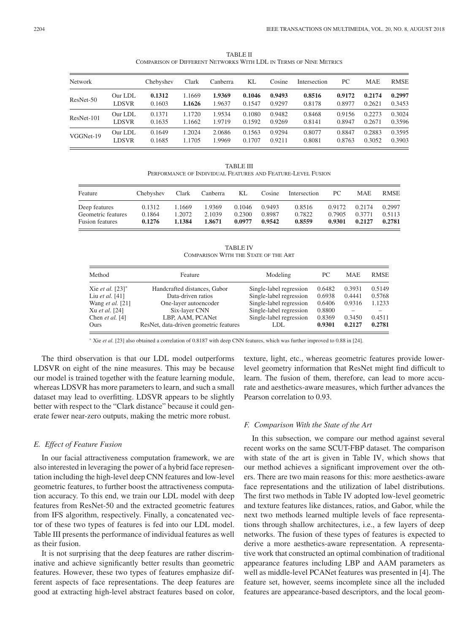TABLE II COMPARISON OF DIFFERENT NETWORKS WITH LDL IN TERMS OF NINE METRICS

| <b>Network</b> |              | Chebyshev | Clark  | Canberra | KL     | Cosine | Intersection | PC     | MAE    | <b>RMSE</b> |
|----------------|--------------|-----------|--------|----------|--------|--------|--------------|--------|--------|-------------|
| ResNet-50      | Our LDL      | 0.1312    | 1.1669 | 1.9369   | 0.1046 | 0.9493 | 0.8516       | 0.9172 | 0.2174 | 0.2997      |
|                | <b>LDSVR</b> | 0.1603    | 1.1626 | 1.9637   | 0.1547 | 0.9297 | 0.8178       | 0.8977 | 0.2621 | 0.3453      |
| ResNet-101     | Our LDL      | 0.1371    | 1.1720 | 1.9534   | 0.1080 | 0.9482 | 0.8468       | 0.9156 | 0.2273 | 0.3024      |
|                | <b>LDSVR</b> | 0.1635    | 1.1662 | 1.9719   | 0.1592 | 0.9269 | 0.8141       | 0.8947 | 0.2671 | 0.3596      |
| VGGNet-19      | Our LDL      | 0.1649    | 1.2024 | 2.0686   | 0.1563 | 0.9294 | 0.8077       | 0.8847 | 0.2883 | 0.3595      |
|                | <b>LDSVR</b> | 0.1685    | 1.1705 | 1.9969   | 0.1707 | 0.9211 | 0.8081       | 0.8763 | 0.3052 | 0.3903      |

TABLE III PERFORMANCE OF INDIVIDUAL FEATURES AND FEATURE-LEVEL FUSION

| Feature                                      | Chebyshev        | Clark             | Canberra         | KL               | Cosine           | Intersection     | РC               | MAE              | <b>RMSE</b>      |
|----------------------------------------------|------------------|-------------------|------------------|------------------|------------------|------------------|------------------|------------------|------------------|
| Deep features                                | 0.1312           | 1.1669            | .9369            | 0.1046           | 0.9493           | 0.8516           | 0.9172           | 0.2174           | 0.2997           |
| Geometric features<br><b>Fusion features</b> | 0.1864<br>0.1276 | 1.2072.<br>1.1384 | 2.1039<br>1.8671 | 0.2300<br>0.0977 | 0.8987<br>0.9542 | 0.7822<br>0.8559 | 0.7905<br>0.9301 | 0.3771<br>0.2127 | 0.5113<br>0.2781 |

TABLE IV COMPARISON WITH THE STATE OF THE ART

| Method            | Feature                                | Modeling                | PС     | MAE    | <b>RMSE</b> |
|-------------------|----------------------------------------|-------------------------|--------|--------|-------------|
| Xie et al. [23]*  | Handcrafted distances, Gabor           | Single-label regression | 0.6482 | 0.3931 | 0.5149      |
| Liu et al. [41]   | Data-driven ratios                     | Single-label regression | 0.6938 | 0.4441 | 0.5768      |
| Wang et al. [21]  | One-layer autoencoder                  | Single-label regression | 0.6406 | 0.9316 | 1.1233      |
| Xu et al. [24]    | Six-layer CNN                          | Single-label regression | 0.8800 |        |             |
| Chen et al. $[4]$ | LBP, AAM, PCANet                       | Single-label regression | 0.8369 | 0.3450 | 0.4511      |
| Ours              | ResNet, data-driven geometric features | LDL.                    | 0.9301 | 0.2127 | 0.2781      |

<sup>∗</sup> Xie *et al.* [23] also obtained a correlation of 0.8187 with deep CNN features, which was further improved to 0.88 in [24].

The third observation is that our LDL model outperforms LDSVR on eight of the nine measures. This may be because our model is trained together with the feature learning module, whereas LDSVR has more parameters to learn, and such a small dataset may lead to overfitting. LDSVR appears to be slightly better with respect to the "Clark distance" because it could generate fewer near-zero outputs, making the metric more robust.

## *E. Effect of Feature Fusion*

In our facial attractiveness computation framework, we are also interested in leveraging the power of a hybrid face representation including the high-level deep CNN features and low-level geometric features, to further boost the attractiveness computation accuracy. To this end, we train our LDL model with deep features from ResNet-50 and the extracted geometric features from IFS algorithm, respectively. Finally, a concatenated vector of these two types of features is fed into our LDL model. Table III presents the performance of individual features as well as their fusion.

It is not surprising that the deep features are rather discriminative and achieve significantly better results than geometric features. However, these two types of features emphasize different aspects of face representations. The deep features are good at extracting high-level abstract features based on color,

texture, light, etc., whereas geometric features provide lowerlevel geometry information that ResNet might find difficult to learn. The fusion of them, therefore, can lead to more accurate and aesthetics-aware measures, which further advances the Pearson correlation to 0.93.

#### *F. Comparison With the State of the Art*

In this subsection, we compare our method against several recent works on the same SCUT-FBP dataset. The comparison with state of the art is given in Table IV, which shows that our method achieves a significant improvement over the others. There are two main reasons for this: more aesthetics-aware face representations and the utilization of label distributions. The first two methods in Table IV adopted low-level geometric and texture features like distances, ratios, and Gabor, while the next two methods learned multiple levels of face representations through shallow architectures, i.e., a few layers of deep networks. The fusion of these types of features is expected to derive a more aesthetics-aware representation. A representative work that constructed an optimal combination of traditional appearance features including LBP and AAM parameters as well as middle-level PCANet features was presented in [4]. The feature set, however, seems incomplete since all the included features are appearance-based descriptors, and the local geom-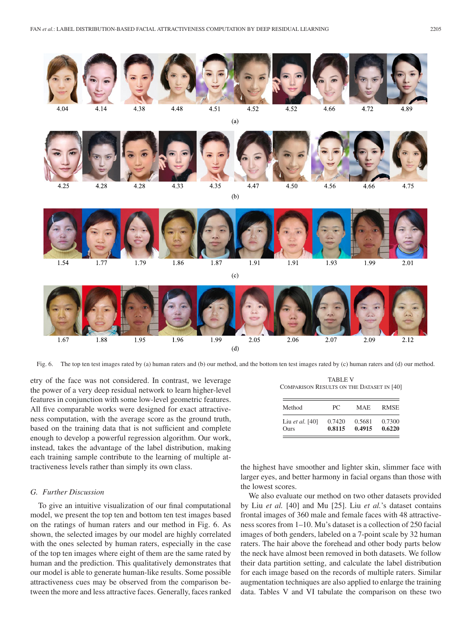

Fig. 6. The top ten test images rated by (a) human raters and (b) our method, and the bottom ten test images rated by (c) human raters and (d) our method.

etry of the face was not considered. In contrast, we leverage the power of a very deep residual network to learn higher-level features in conjunction with some low-level geometric features. All five comparable works were designed for exact attractiveness computation, with the average score as the ground truth, based on the training data that is not sufficient and complete enough to develop a powerful regression algorithm. Our work, instead, takes the advantage of the label distribution, making each training sample contribute to the learning of multiple attractiveness levels rather than simply its own class.

# *G. Further Discussion*

To give an intuitive visualization of our final computational model, we present the top ten and bottom ten test images based on the ratings of human raters and our method in Fig. 6. As shown, the selected images by our model are highly correlated with the ones selected by human raters, especially in the case of the top ten images where eight of them are the same rated by human and the prediction. This qualitatively demonstrates that our model is able to generate human-like results. Some possible attractiveness cues may be observed from the comparison between the more and less attractive faces. Generally, faces ranked

TABLE V COMPARISON RESULTS ON THE DATASET IN [40]

| Method            | PC.    | <b>MAE</b> | <b>RMSE</b> |
|-------------------|--------|------------|-------------|
| Liu et al. $[40]$ | 0.7420 | 0.5681     | 0.7300      |
| Ours              | 0.8115 | 0.4915     | 0.6220      |

the highest have smoother and lighter skin, slimmer face with larger eyes, and better harmony in facial organs than those with the lowest scores.

We also evaluate our method on two other datasets provided by Liu *et al.* [40] and Mu [25]. Liu *et al.*'s dataset contains frontal images of 360 male and female faces with 48 attractiveness scores from 1–10. Mu's dataset is a collection of 250 facial images of both genders, labeled on a 7-point scale by 32 human raters. The hair above the forehead and other body parts below the neck have almost been removed in both datasets. We follow their data partition setting, and calculate the label distribution for each image based on the records of multiple raters. Similar augmentation techniques are also applied to enlarge the training data. Tables V and VI tabulate the comparison on these two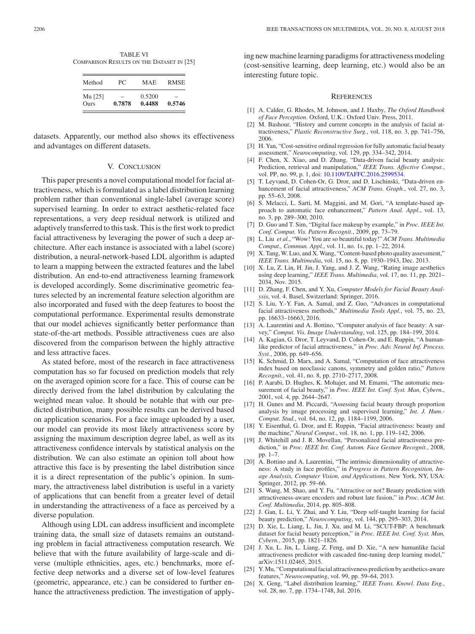TABLE VI COMPARISON RESULTS ON THE DATASET IN [25]

| Method          | PС     | MAE              | <b>RMSE</b> |
|-----------------|--------|------------------|-------------|
| Mu [25]<br>Ours | 0.7878 | 0.5200<br>0.4488 | 0.5746      |

datasets. Apparently, our method also shows its effectiveness and advantages on different datasets.

## V. CONCLUSION

This paper presents a novel computational model for facial attractiveness, which is formulated as a label distribution learning problem rather than conventional single-label (average score) supervised learning. In order to extract aesthetic-related face representations, a very deep residual network is utilized and adaptively transferred to this task. This is the first work to predict facial attractiveness by leveraging the power of such a deep architecture. After each instance is associated with a label (score) distribution, a neural-network-based LDL algorithm is adapted to learn a mapping between the extracted features and the label distribution. An end-to-end attractiveness learning framework is developed accordingly. Some discriminative geometric features selected by an incremental feature selection algorithm are also incorporated and fused with the deep features to boost the computational performance. Experimental results demonstrate that our model achieves significantly better performance than state-of-the-art methods. Possible attractiveness cues are also discovered from the comparison between the highly attractive and less attractive faces.

As stated before, most of the research in face attractiveness computation has so far focused on prediction models that rely on the averaged opinion score for a face. This of course can be directly derived from the label distribution by calculating the weighted mean value. It should be notable that with our predicted distribution, many possible results can be derived based on application scenarios. For a face image uploaded by a user, our model can provide its most likely attractiveness score by assigning the maximum description degree label, as well as its attractiveness confidence intervals by statistical analysis on the distribution. We can also estimate an opinion toll about how attractive this face is by presenting the label distribution since it is a direct representation of the public's opinion. In summary, the attractiveness label distribution is useful in a variety of applications that can benefit from a greater level of detail in understanding the attractiveness of a face as perceived by a diverse population.

Although using LDL can address insufficient and incomplete training data, the small size of datasets remains an outstanding problem in facial attractiveness computation research. We believe that with the future availability of large-scale and diverse (multiple ethnicities, ages, etc.) benchmarks, more effective deep networks and a diverse set of low-level features (geometric, appearance, etc.) can be considered to further enhance the attractiveness prediction. The investigation of applying new machine learning paradigms for attractiveness modeling (cost-sensitive learning, deep learning, etc.) would also be an interesting future topic.

#### **REFERENCES**

- [1] A. Calder, G. Rhodes, M. Johnson, and J. Haxby, *The Oxford Handbook of Face Perception*. Oxford, U.K.: Oxford Univ. Press, 2011.
- [2] M. Bashour, "History and current concepts in the analysis of facial attractiveness," *Plastic Reconstructive Surg.*, vol. 118, no. 3, pp. 741–756, 2006.
- [3] H. Yan, "Cost-sensitive ordinal regression for fully automatic facial beauty assessment," *Neurocomputing*, vol. 129, pp. 334–342, 2014.
- [4] F. Chen, X. Xiao, and D. Zhang, "Data-driven facial beauty analysis: Prediction, retrieval and manipulation," *IEEE Trans. Affective Comput.*, vol. PP, no. 99, p. 1, doi: 10.1109/TAFFC.2016.2599534.
- [5] T. Leyvand, D. Cohen-Or, G. Dror, and D. Lischinski, "Data-driven enhancement of facial attractiveness," *ACM Trans. Graph.*, vol. 27, no. 3, pp. 55–63, 2008.
- [6] S. Melacci, L. Sarti, M. Maggini, and M. Gori, "A template-based approach to automatic face enhancement," *Pattern Anal. Appl.*, vol. 13, no. 3, pp. 289–300, 2010.
- [7] D. Guo and T. Sim, "Digital face makeup by example," in *Proc. IEEE Int. Conf. Comput. Vis. Pattern Recognit.*, 2009, pp. 73–79.
- [8] L. Liu *et al.*, "Wow! You are so beautiful today!" *ACM Trans. Multimedia Comput., Commun. Appl.*, vol. 11, no. 1s, pp. 1–22, 2014.
- [9] X. Tang, W. Luo, and X. Wang, "Content-based photo quality assessment," *IEEE Trans. Multimedia*, vol. 15, no. 8, pp. 1930–1943, Dec. 2013.
- [10] X. Lu, Z. Lin, H. Jin, J. Yang, and J. Z. Wang, "Rating image aesthetics using deep learning," *IEEE Trans. Multimedia*, vol. 17, no. 11, pp. 2021– 2034, Nov. 2015.
- [11] D. Zhang, F. Chen, and Y. Xu, *Computer Models for Facial Beauty Analysis*, vol. 4. Basel, Switzerland: Springer, 2016.
- [12] S. Liu, Y.-Y. Fan, A. Samal, and Z. Guo, "Advances in computational facial attractiveness methods," *Multimedia Tools Appl.*, vol. 75, no. 23, pp. 16633–16663, 2016.
- [13] A. Laurentini and A. Bottino, "Computer analysis of face beauty: A survey," *Comput. Vis. Image Understanding*, vol. 125, pp. 184–199, 2014.
- [14] A. Kagian, G. Dror, T. Leyvand, D. Cohen-Or, and E. Ruppin, "A humanlike predictor of facial attractiveness," in *Proc. Adv. Neural Inf. Process. Syst.*, 2006, pp. 649–656.
- [15] K. Schmid, D. Marx, and A. Samal, "Computation of face attractiveness index based on neoclassic canons, symmetry and golden ratio," *Pattern Recognit.*, vol. 41, no. 8, pp. 2710–2717, 2008.
- [16] P. Aarabi, D. Hughes, K. Mohajer, and M. Emami, "The automatic measurement of facial beauty," in *Proc. IEEE Int. Conf. Syst. Man, Cybern.*, 2001, vol. 4, pp. 2644–2647.
- [17] H. Gunes and M. Piccardi, "Assessing facial beauty through proportion analysis by image processing and supervised learning," *Int. J. Hum.- Comput. Stud.*, vol. 64, no. 12, pp. 1184–1199, 2006.
- [18] Y. Eisenthal, G. Dror, and E. Ruppin, "Facial attractiveness: beauty and the machine," *Neural Comput.*, vol. 18, no. 1, pp. 119–142, 2006.
- [19] J. Whitehill and J. R. Movellan, "Personalized facial attractiveness prediction," in *Proc. IEEE Int. Conf. Autom. Face Gesture Recognit.*, 2008, pp. 1–7.
- [20] A. Bottino and A. Laurentini, "The intrinsic dimensionality of attractiveness: A study in face profiles," in *Progress in Pattern Recognition, Image Analysis, Computer Vision, and Applications*. New York, NY, USA: Springer, 2012, pp. 59–66.
- [21] S. Wang, M. Shao, and Y. Fu, "Attractive or not? Beauty prediction with attractiveness-aware encoders and robust late fusion," in *Proc. ACM Int. Conf. Multimedia*, 2014, pp. 805–808.
- [22] J. Gan, L. Li, Y. Zhai, and Y. Liu, "Deep self-taught learning for facial beauty prediction," *Neurocomputing*, vol. 144, pp. 295–303, 2014.
- [23] D. Xie, L. Liang, L. Jin, J. Xu, and M. Li, "SCUT-FBP: A benchmark dataset for facial beauty perception," in *Proc. IEEE Int. Conf. Syst. Man, Cybern.*, 2015, pp. 1821–1826.
- [24] J. Xu, L. Jin, L. Liang, Z. Feng, and D. Xie, "A new humanlike facial attractiveness predictor with cascaded fine-tuning deep learning model," arXiv:1511.02465, 2015.
- [25] Y. Mu, "Computational facial attractiveness prediction by aesthetics-aware features," *Neurocomputing*, vol. 99, pp. 59–64, 2013.
- [26] X. Geng, "Label distribution learning," *IEEE Trans. Knowl. Data Eng.*, vol. 28, no. 7, pp. 1734–1748, Jul. 2016.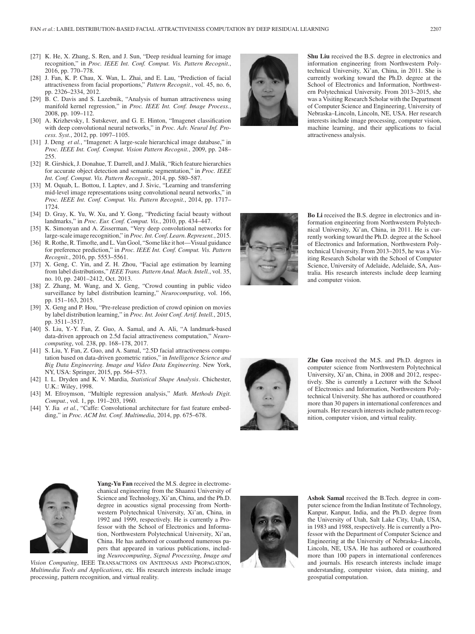- [27] K. He, X. Zhang, S. Ren, and J. Sun, "Deep residual learning for image recognition," in *Proc. IEEE Int. Conf. Comput. Vis. Pattern Recognit.*, 2016, pp. 770–778.
- [28] J. Fan, K. P. Chau, X. Wan, L. Zhai, and E. Lau, "Prediction of facial attractiveness from facial proportions," *Pattern Recognit.*, vol. 45, no. 6, pp. 2326–2334, 2012.
- [29] B. C. Davis and S. Lazebnik, "Analysis of human attractiveness using manifold kernel regression," in *Proc. IEEE Int. Conf. Image Process.*, 2008, pp. 109–112.
- [30] A. Krizhevsky, I. Sutskever, and G. E. Hinton, "Imagenet classification with deep convolutional neural networks," in *Proc. Adv. Neural Inf. Process. Syst.*, 2012, pp. 1097–1105.
- [31] J. Deng et al., "Imagenet: A large-scale hierarchical image database," in *Proc. IEEE Int. Conf. Comput. Vision Pattern Recognit.*, 2009, pp. 248– 255.
- [32] R. Girshick, J. Donahue, T. Darrell, and J. Malik, "Rich feature hierarchies for accurate object detection and semantic segmentation," in *Proc. IEEE Int. Conf. Comput. Vis. Pattern Recognit.*, 2014, pp. 580–587.
- [33] M. Oquab, L. Bottou, I. Laptev, and J. Sivic, "Learning and transferring mid-level image representations using convolutional neural networks," in *Proc. IEEE Int. Conf. Comput. Vis. Pattern Recognit.*, 2014, pp. 1717– 1724.
- [34] D. Gray, K. Yu, W. Xu, and Y. Gong, "Predicting facial beauty without landmarks," in *Proc. Eur. Conf. Comput. Vis.*, 2010, pp. 434–447.
- [35] K. Simonyan and A. Zisserman, "Very deep convolutional networks for large-scale image recognition," in *Proc. Int. Conf. Learn. Represent.*, 2015.
- [36] R. Rothe, R. Timofte, and L. Van Gool, "Some like it hot—Visual guidance for preference prediction," in *Proc. IEEE Int. Conf. Comput. Vis. Pattern Recognit.*, 2016, pp. 5553–5561.
- [37] X. Geng, C. Yin, and Z. H. Zhou, "Facial age estimation by learning from label distributions," *IEEE Trans. Pattern Anal. Mach. Intell.*, vol. 35, no. 10, pp. 2401–2412, Oct. 2013.
- [38] Z. Zhang, M. Wang, and X. Geng, "Crowd counting in public video surveillance by label distribution learning," *Neurocomputing*, vol. 166, pp. 151–163, 2015.
- [39] X. Geng and P. Hou, "Pre-release prediction of crowd opinion on movies by label distribution learning," in *Proc. Int. Joint Conf. Artif. Intell.*, 2015, pp. 3511–3517.
- [40] S. Liu, Y.-Y. Fan, Z. Guo, A. Samal, and A. Ali, "A landmark-based data-driven approach on 2.5d facial attractiveness computation," *Neurocomputing*, vol. 238, pp. 168–178, 2017.
- [41] S. Liu, Y. Fan, Z. Guo, and A. Samal, "2.5D facial attractiveness computation based on data-driven geometric ratios," in *Intelligence Science and Big Data Engineering. Image and Video Data Engineering*. New York, NY, USA: Springer, 2015, pp. 564–573.
- [42] I. L. Dryden and K. V. Mardia, *Statistical Shape Analysis*. Chichester, U.K.: Wiley, 1998.
- [43] M. Efroymson, "Multiple regression analysis," *Math. Methods Digit. Comput.*, vol. 1, pp. 191–203, 1960.
- [44] Y. Jia *et al.*, "Caffe: Convolutional architecture for fast feature embedding," in *Proc. ACM Int. Conf. Multimedia*, 2014, pp. 675–678.



**Shu Liu** received the B.S. degree in electronics and information engineering from Northwestern Polytechnical University, Xi'an, China, in 2011. She is currently working toward the Ph.D. degree at the School of Electronics and Information, Northwestern Polytechnical University. From 2013–2015, she was a Visiting Research Scholar with the Department of Computer Science and Engineering, University of Nebraska–Lincoln, Lincoln, NE, USA. Her research interests include image processing, computer vision, machine learning, and their applications to facial attractiveness analysis.



**Bo Li** received the B.S. degree in electronics and information engineering from Northwestern Polytechnical University, Xi'an, China, in 2011. He is currently working toward the Ph.D. degree at the School of Electronics and Information, Northwestern Polytechnical University. From 2013–2015, he was a Visiting Research Scholar with the School of Computer Science, University of Adelaide, Adelaide, SA, Australia. His research interests include deep learning and computer vision.



**Zhe Guo** received the M.S. and Ph.D. degrees in computer science from Northwestern Polytechnical University, Xi'an, China, in 2008 and 2012, respectively. She is currently a Lecturer with the School of Electronics and Information, Northwestern Polytechnical University. She has authored or coauthored more than 30 papers in international conferences and journals. Her research interests include pattern recognition, computer vision, and virtual reality.



**Yang-Yu Fan** received the M.S. degree in electromechanical engineering from the Shaanxi University of Science and Technology, Xi'an, China, and the Ph.D. degree in acoustics signal processing from Northwestern Polytechnical University, Xi'an, China, in 1992 and 1999, respectively. He is currently a Professor with the School of Electronics and Information, Northwestern Polytechnical University, Xi'an, China. He has authored or coauthored numerous papers that appeared in various publications, including *Neurocomputing*, *Signal Processing*, *Image and*

*Vision Computing*, IEEE TRANSACTIONS ON ANTENNAS AND PROPAGATION, *Multimedia Tools and Applications*, etc. His research interests include image processing, pattern recognition, and virtual reality.



**Ashok Samal** received the B.Tech. degree in computer science from the Indian Institute of Technology, Kanpur, Kanpur, India, and the Ph.D. degree from the University of Utah, Salt Lake City, Utah, USA, in 1983 and 1988, respectively. He is currently a Professor with the Department of Computer Science and Engineering at the University of Nebraska–Lincoln, Lincoln, NE, USA. He has authored or coauthored more than 100 papers in international conferences and journals. His research interests include image understanding, computer vision, data mining, and geospatial computation.